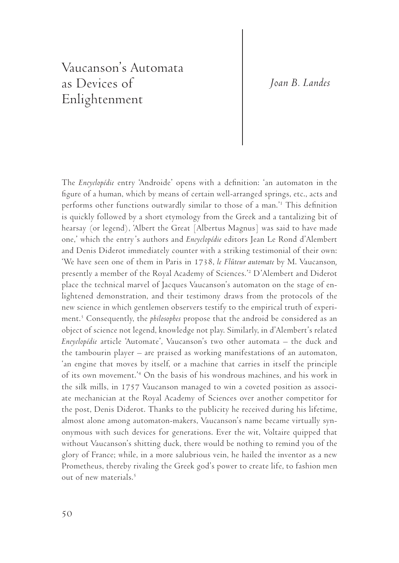## *Joan B. Landes*

## Vaucanson's Automata as Devices of Enlightenment

The *Encyclopédie* entry 'Androide' opens with a definition: 'an automaton in the figure of a human, which by means of certain well-arranged springs, etc., acts and performs other functions outwardly similar to those of a man.'1 This definition is quickly followed by a short etymology from the Greek and a tantalizing bit of hearsay (or legend), 'Albert the Great [Albertus Magnus] was said to have made one,' which the entry's authors and *Encyclopédie* editors Jean Le Rond d'Alembert and Denis Diderot immediately counter with a striking testimonial of their own: 'We have seen one of them in Paris in 1738, *le Flûteur automate* by M. Vaucanson*,*  presently a member of the Royal Academy of Sciences.'2 D'Alembert and Diderot place the technical marvel of Jacques Vaucanson's automaton on the stage of enlightened demonstration, and their testimony draws from the protocols of the new science in which gentlemen observers testify to the empirical truth of experiment.3 Consequently, the *philosophes* propose that the android be considered as an object of science not legend, knowledge not play. Similarly, in d'Alembert's related *Encyclopédie* article 'Automate', Vaucanson's two other automata – the duck and the tambourin player – are praised as working manifestations of an automaton, 'an engine that moves by itself, or a machine that carries in itself the principle of its own movement.'4 On the basis of his wondrous machines, and his work in the silk mills, in 1757 Vaucanson managed to win a coveted position as associate mechanician at the Royal Academy of Sciences over another competitor for the post, Denis Diderot. Thanks to the publicity he received during his lifetime, almost alone among automaton-makers, Vaucanson's name became virtually synonymous with such devices for generations. Ever the wit, Voltaire quipped that without Vaucanson's shitting duck, there would be nothing to remind you of the glory of France; while, in a more salubrious vein, he hailed the inventor as a new Prometheus, thereby rivaling the Greek god's power to create life, to fashion men out of new materials.<sup>5</sup>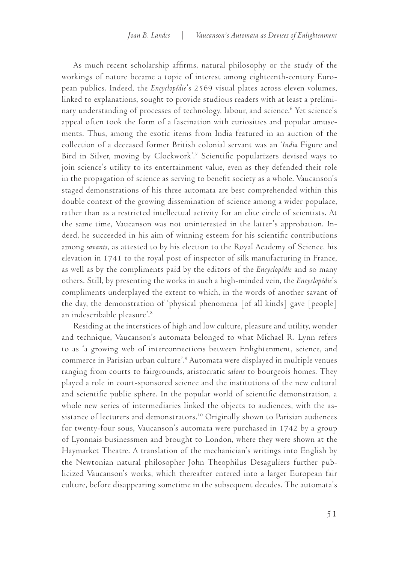As much recent scholarship affirms, natural philosophy or the study of the workings of nature became a topic of interest among eighteenth-century European publics. Indeed, the *Encyclopédie*'s 2569 visual plates across eleven volumes, linked to explanations, sought to provide studious readers with at least a preliminary understanding of processes of technology, labour, and science.6 Yet science's appeal often took the form of a fascination with curiosities and popular amusements. Thus, among the exotic items from India featured in an auction of the collection of a deceased former British colonial servant was an '*India* Figure and Bird in Silver, moving by Clockwork'.7 Scientific popularizers devised ways to join science's utility to its entertainment value, even as they defended their role in the propagation of science as serving to benefit society as a whole. Vaucanson's staged demonstrations of his three automata are best comprehended within this double context of the growing dissemination of science among a wider populace, rather than as a restricted intellectual activity for an elite circle of scientists. At the same time, Vaucanson was not uninterested in the latter's approbation. Indeed, he succeeded in his aim of winning esteem for his scientific contributions among *savants*, as attested to by his election to the Royal Academy of Science, his elevation in 1741 to the royal post of inspector of silk manufacturing in France, as well as by the compliments paid by the editors of the *Encyclopédie* and so many others. Still, by presenting the works in such a high-minded vein, the *Encyclopédie*'s compliments underplayed the extent to which, in the words of another savant of the day, the demonstration of 'physical phenomena [of all kinds] gave [people] an indescribable pleasure'.8

Residing at the interstices of high and low culture, pleasure and utility, wonder and technique, Vaucanson's automata belonged to what Michael R. Lynn refers to as 'a growing web of interconnections between Enlightenment, science, and commerce in Parisian urban culture'.9 Automata were displayed in multiple venues ranging from courts to fairgrounds, aristocratic *salons* to bourgeois homes. They played a role in court-sponsored science and the institutions of the new cultural and scientific public sphere. In the popular world of scientific demonstration, a whole new series of intermediaries linked the objects to audiences, with the assistance of lecturers and demonstrators.<sup>10</sup> Originally shown to Parisian audiences for twenty-four sous, Vaucanson's automata were purchased in 1742 by a group of Lyonnais businessmen and brought to London, where they were shown at the Haymarket Theatre. A translation of the mechanician's writings into English by the Newtonian natural philosopher John Theophilus Desaguliers further publicized Vaucanson's works, which thereafter entered into a larger European fair culture, before disappearing sometime in the subsequent decades. The automata's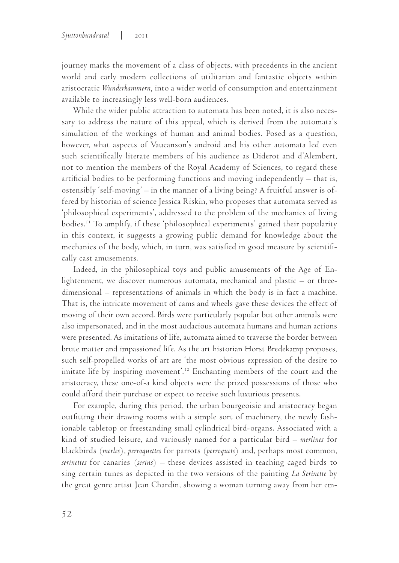journey marks the movement of a class of objects, with precedents in the ancient world and early modern collections of utilitarian and fantastic objects within aristocratic *Wunderkammern,* into a wider world of consumption and entertainment available to increasingly less well-born audiences.

While the wider public attraction to automata has been noted, it is also necessary to address the nature of this appeal, which is derived from the automata's simulation of the workings of human and animal bodies. Posed as a question, however, what aspects of Vaucanson's android and his other automata led even such scientifically literate members of his audience as Diderot and d'Alembert, not to mention the members of the Royal Academy of Sciences, to regard these artificial bodies to be performing functions and moving independently – that is, ostensibly 'self-moving' – in the manner of a living being? A fruitful answer is offered by historian of science Jessica Riskin, who proposes that automata served as 'philosophical experiments', addressed to the problem of the mechanics of living bodies.11 To amplify, if these 'philosophical experiments' gained their popularity in this context, it suggests a growing public demand for knowledge about the mechanics of the body, which, in turn, was satisfied in good measure by scientifically cast amusements.

Indeed, in the philosophical toys and public amusements of the Age of Enlightenment, we discover numerous automata, mechanical and plastic – or threedimensional – representations of animals in which the body is in fact a machine. That is, the intricate movement of cams and wheels gave these devices the effect of moving of their own accord. Birds were particularly popular but other animals were also impersonated, and in the most audacious automata humans and human actions were presented. As imitations of life, automata aimed to traverse the border between brute matter and impassioned life. As the art historian Horst Bredekamp proposes, such self-propelled works of art are 'the most obvious expression of the desire to imitate life by inspiring movement<sup>''.12</sup> Enchanting members of the court and the aristocracy, these one-of-a kind objects were the prized possessions of those who could afford their purchase or expect to receive such luxurious presents.

For example, during this period, the urban bourgeoisie and aristocracy began outfitting their drawing rooms with a simple sort of machinery, the newly fashionable tabletop or freestanding small cylindrical bird-organs. Associated with a kind of studied leisure, and variously named for a particular bird – *merlines* for blackbirds (*merles*), *perroquettes* for parrots (*perroquets*) and, perhaps most common, *serinettes* for canaries (*serins*) – these devices assisted in teaching caged birds to sing certain tunes as depicted in the two versions of the painting *La Serinette* by the great genre artist Jean Chardin, showing a woman turning away from her em-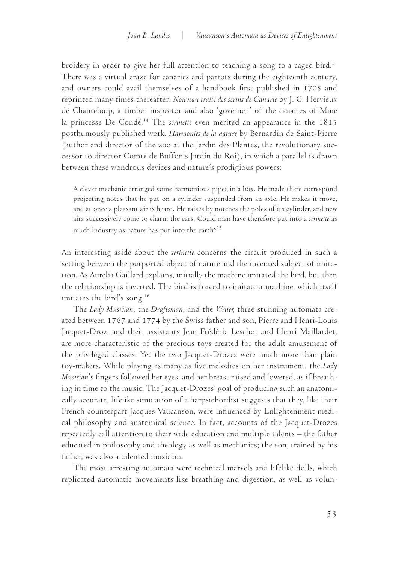broidery in order to give her full attention to teaching a song to a caged bird.<sup>13</sup> There was a virtual craze for canaries and parrots during the eighteenth century, and owners could avail themselves of a handbook first published in 1705 and reprinted many times thereafter: *Nouveau traité des serins de Canarie* by J. C. Hervieux de Chanteloup, a timber inspector and also 'governor' of the canaries of Mme la princesse De Condé.14 The *serinette* even merited an appearance in the 1815 posthumously published work, *Harmonies de la nature* by Bernardin de Saint-Pierre (author and director of the zoo at the Jardin des Plantes, the revolutionary successor to director Comte de Buffon's Jardin du Roi), in which a parallel is drawn between these wondrous devices and nature's prodigious powers:

A clever mechanic arranged some harmonious pipes in a box. He made there correspond projecting notes that he put on a cylinder suspended from an axle. He makes it move, and at once a pleasant air is heard. He raises by notches the poles of its cylinder, and new airs successively come to charm the ears. Could man have therefore put into a *serinette* as much industry as nature has put into the earth? $15$ 

An interesting aside about the *serinette* concerns the circuit produced in such a setting between the purported object of nature and the invented subject of imitation. As Aurelia Gaillard explains, initially the machine imitated the bird, but then the relationship is inverted. The bird is forced to imitate a machine, which itself imitates the bird's song.<sup>16</sup>

The *Lady Musician*, the *Draftsman*, and the *Writer,* three stunning automata created between 1767 and 1774 by the Swiss father and son, Pierre and Henri-Louis Jacquet-Droz, and their assistants Jean Frédéric Leschot and Henri Maillardet, are more characteristic of the precious toys created for the adult amusement of the privileged classes. Yet the two Jacquet-Drozes were much more than plain toy-makers. While playing as many as five melodies on her instrument, the *Lady Musician*'s fingers followed her eyes, and her breast raised and lowered, as if breathing in time to the music. The Jacquet-Drozes' goal of producing such an anatomically accurate, lifelike simulation of a harpsichordist suggests that they, like their French counterpart Jacques Vaucanson, were influenced by Enlightenment medical philosophy and anatomical science. In fact, accounts of the Jacquet-Drozes repeatedly call attention to their wide education and multiple talents – the father educated in philosophy and theology as well as mechanics; the son, trained by his father, was also a talented musician.

The most arresting automata were technical marvels and lifelike dolls, which replicated automatic movements like breathing and digestion, as well as volun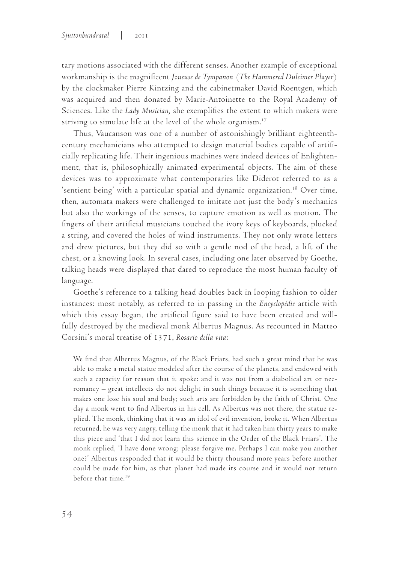tary motions associated with the different senses. Another example of exceptional workmanship is the magnificent *Joueuse de Tympanon* (*The Hammered Dulcimer Player*) by the clockmaker Pierre Kintzing and the cabinetmaker David Roentgen, which was acquired and then donated by Marie-Antoinette to the Royal Academy of Sciences. Like the *Lady Musician,* she exemplifies the extent to which makers were striving to simulate life at the level of the whole organism.<sup>17</sup>

Thus, Vaucanson was one of a number of astonishingly brilliant eighteenthcentury mechanicians who attempted to design material bodies capable of artificially replicating life. Their ingenious machines were indeed devices of Enlightenment, that is, philosophically animated experimental objects. The aim of these devices was to approximate what contemporaries like Diderot referred to as a 'sentient being' with a particular spatial and dynamic organization.<sup>18</sup> Over time, then, automata makers were challenged to imitate not just the body's mechanics but also the workings of the senses, to capture emotion as well as motion. The fingers of their artificial musicians touched the ivory keys of keyboards, plucked a string, and covered the holes of wind instruments. They not only wrote letters and drew pictures, but they did so with a gentle nod of the head, a lift of the chest, or a knowing look. In several cases, including one later observed by Goethe, talking heads were displayed that dared to reproduce the most human faculty of language.

Goethe's reference to a talking head doubles back in looping fashion to older instances: most notably, as referred to in passing in the *Encyclopédie* article with which this essay began, the artificial figure said to have been created and willfully destroyed by the medieval monk Albertus Magnus. As recounted in Matteo Corsini's moral treatise of 1371, *Rosario della vita*:

We find that Albertus Magnus, of the Black Friars, had such a great mind that he was able to make a metal statue modeled after the course of the planets, and endowed with such a capacity for reason that it spoke: and it was not from a diabolical art or necromancy – great intellects do not delight in such things because it is something that makes one lose his soul and body; such arts are forbidden by the faith of Christ. One day a monk went to find Albertus in his cell. As Albertus was not there, the statue replied. The monk, thinking that it was an idol of evil invention, broke it. When Albertus returned, he was very angry, telling the monk that it had taken him thirty years to make this piece and 'that I did not learn this science in the Order of the Black Friars'. The monk replied, 'I have done wrong; please forgive me. Perhaps I can make you another one?' Albertus responded that it would be thirty thousand more years before another could be made for him, as that planet had made its course and it would not return before that time.19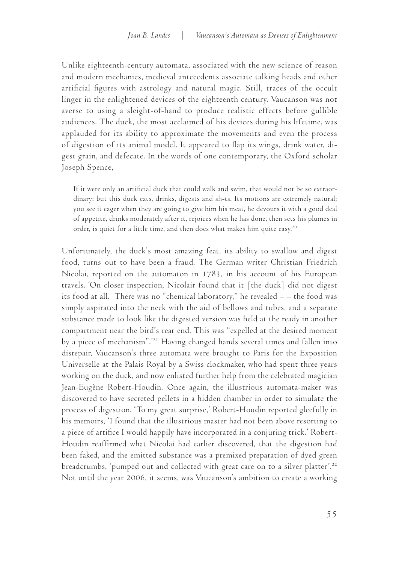Unlike eighteenth-century automata, associated with the new science of reason and modern mechanics, medieval antecedents associate talking heads and other artificial figures with astrology and natural magic. Still, traces of the occult linger in the enlightened devices of the eighteenth century. Vaucanson was not averse to using a sleight-of-hand to produce realistic effects before gullible audiences. The duck, the most acclaimed of his devices during his lifetime, was applauded for its ability to approximate the movements and even the process of digestion of its animal model. It appeared to flap its wings, drink water, digest grain, and defecate. In the words of one contemporary, the Oxford scholar Joseph Spence,

If it were only an artificial duck that could walk and swim, that would not be so extraordinary: but this duck eats, drinks, digests and sh-ts. Its motions are extremely natural; you see it eager when they are going to give him his meat, he devours it with a good deal of appetite, drinks moderately after it, rejoices when he has done, then sets his plumes in order, is quiet for a little time, and then does what makes him quite easy.20

Unfortunately, the duck's most amazing feat, its ability to swallow and digest food, turns out to have been a fraud. The German writer Christian Friedrich Nicolai, reported on the automaton in 1783, in his account of his European travels. 'On closer inspection, Nicolair found that it [the duck] did not digest its food at all. There was no "chemical laboratory," he revealed – – the food was simply aspirated into the neck with the aid of bellows and tubes, and a separate substance made to look like the digested version was held at the ready in another compartment near the bird's rear end. This was "expelled at the desired moment by a piece of mechanism".'21 Having changed hands several times and fallen into disrepair, Vaucanson's three automata were brought to Paris for the Exposition Universelle at the Palais Royal by a Swiss clockmaker, who had spent three years working on the duck, and now enlisted further help from the celebrated magician Jean-Eugène Robert-Houdin. Once again, the illustrious automata-maker was discovered to have secreted pellets in a hidden chamber in order to simulate the process of digestion. 'To my great surprise,' Robert-Houdin reported gleefully in his memoirs, 'I found that the illustrious master had not been above resorting to a piece of artifice I would happily have incorporated in a conjuring trick.' Robert-Houdin reaffirmed what Nicolai had earlier discovered, that the digestion had been faked, and the emitted substance was a premixed preparation of dyed green breadcrumbs, 'pumped out and collected with great care on to a silver platter'.<sup>22</sup> Not until the year 2006, it seems, was Vaucanson's ambition to create a working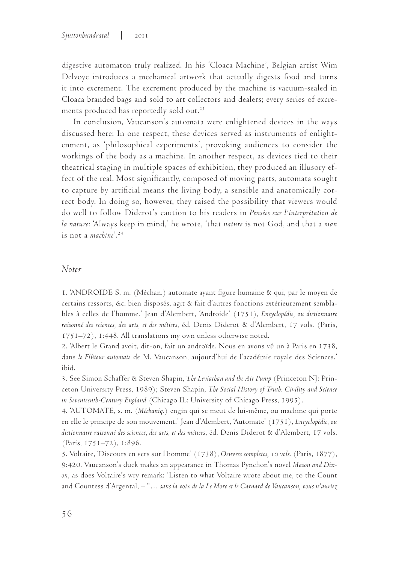digestive automaton truly realized. In his 'Cloaca Machine', Belgian artist Wim Delvoye introduces a mechanical artwork that actually digests food and turns it into excrement. The excrement produced by the machine is vacuum-sealed in Cloaca branded bags and sold to art collectors and dealers; every series of excrements produced has reportedly sold out.<sup>23</sup>

In conclusion, Vaucanson's automata were enlightened devices in the ways discussed here: In one respect, these devices served as instruments of enlightenment, as 'philosophical experiments', provoking audiences to consider the workings of the body as a machine. In another respect, as devices tied to their theatrical staging in multiple spaces of exhibition, they produced an illusory effect of the real. Most significantly, composed of moving parts, automata sought to capture by artificial means the living body, a sensible and anatomically correct body. In doing so, however, they raised the possibility that viewers would do well to follow Diderot's caution to his readers in *Pensées sur l'interprétation de la nature*: 'Always keep in mind,' he wrote, 'that *nature* is not God, and that a *man* is not a *machine*'.24

## *Noter*

1. 'ANDROIDE S. m. (Méchan.) automate ayant figure humaine & qui, par le moyen de certains ressorts, &c. bien disposés, agit & fait d'autres fonctions extérieurement semblables à celles de l'homme.' Jean d'Alembert, 'Androide' (1751), *Encyclopédie, ou dictionnaire raisonné des sciences, des arts, et des métiers*, éd. Denis Diderot & d'Alembert, 17 vols. (Paris, 1751–72), 1:448. All translations my own unless otherwise noted.

2. 'Albert le Grand avoit, dit-on, fait un androïde. Nous en avons vû un à Paris en 1738, dans *le Flûteur automate* de M. Vaucanson, aujourd'hui de l'académie royale des Sciences.' ibid.

3. See Simon Schaffer & Steven Shapin, *The Leviathan and the Air Pump* (Princeton NJ: Princeton University Press, 1989); Steven Shapin, *The Social History of Truth: Civility and Science in Seventeenth-Century England* (Chicago IL: University of Chicago Press, 1995).

4. 'AUTOMATE, s. m. (*Méchaniq.*) engin qui se meut de lui-même, ou machine qui porte en elle le principe de son mouvement.' Jean d'Alembert, 'Automate' (1751), *Encyclopédie, ou dictionnaire raisonné des sciences, des arts, et des métiers*, éd. Denis Diderot & d'Alembert, 17 vols. (Paris, 1751–72), 1:896.

5. Voltaire, 'Discours en vers sur l'homme' (1738), *Oeuvres completes, 10 vols.* (Paris, 1877), 9:420. Vaucanson's duck makes an appearance in Thomas Pynchon's novel *Mason and Dixon*, as does Voltaire's wry remark: 'Listen to what Voltaire wrote about me, to the Count and Countess d'Argental, – "… *sans la voix de la Le More et le Carnard de Vaucanson, vous n'auriez*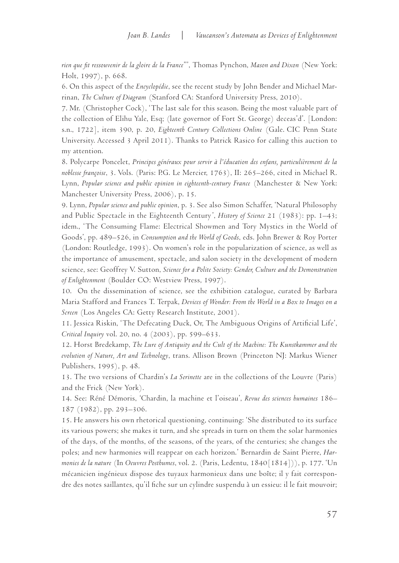*rien que fit ressouvenir de la gloire de la France*"', Thomas Pynchon, *Mason and Dixon* (New York: Holt, 1997), p. 668.

6. On this aspect of the *Encyclopédie*, see the recent study by John Bender and Michael Marrinan, *The Culture of Diagram* (Stanford CA: Stanford University Press, 2010).

7. Mr. (Christopher Cock), 'The last sale for this season. Being the most valuable part of the collection of Elihu Yale, Esq; (late governor of Fort St. George) deceas'd'. [London: s.n., 1722], item 390, p. 20, *Eighteenth Century Collections Online* (Gale. CIC Penn State University. Accessed 3 April 2011). Thanks to Patrick Rasico for calling this auction to my attention.

8. Polycarpe Poncelet, *Principes généraux pour servir à l'éducation des enfans, particulièrement de la noblesse françoise*, 3. Vols. (Paris: P.G. Le Mercier, 1763), II: 265–266, cited in Michael R. Lynn, *Popular science and public opinion in eighteenth-century France* (Manchester & New York: Manchester University Press, 2006), p. 15.

9. Lynn, *Popular science and public opinion*, p. 3. See also Simon Schaffer, 'Natural Philosophy and Public Spectacle in the Eighteenth Century', *History of Science* 21 (1983): pp. 1–43; idem., 'The Consuming Flame: Electrical Showmen and Tory Mystics in the World of Goods', pp. 489–526, in *Consumption and the World of Goods*, eds. John Brewer & Roy Porter (London: Routledge, 1993). On women's role in the popularization of science, as well as the importance of amusement, spectacle, and salon society in the development of modern science, see: Geoffrey V. Sutton, *Science for a Polite Society: Gender, Culture and the Demonstration of Enlightenment* (Boulder CO: Westview Press, 1997).

10. On the dissemination of science, see the exhibition catalogue, curated by Barbara Maria Stafford and Frances T. Terpak, *Devices of Wonder: From the World in a Box to Images on a Screen* (Los Angeles CA: Getty Research Institute, 2001).

11. Jessica Riskin, 'The Defecating Duck, Or, The Ambiguous Origins of Artificial Life', *Critical Inquiry* vol. 20, no. 4 (2003), pp. 599–633.

12. Horst Bredekamp, *The Lure of Antiquity and the Cult of the Machine: The Kunstkammer and the evolution of Nature, Art and Technology*, trans. Allison Brown (Princeton NJ: Markus Wiener Publishers, 1995), p. 48.

13. The two versions of Chardin's *La Serinette* are in the collections of the Louvre (Paris) and the Frick (New York).

14. See: Réné Démoris, 'Chardin, la machine et l'oiseau', *Revue des sciences humaines* 186– 187 (1982), pp. 293–306.

15. He answers his own rhetorical questioning, continuing: 'She distributed to its surface its various powers; she makes it turn, and she spreads in turn on them the solar harmonies of the days, of the months, of the seasons, of the years, of the centuries; she changes the poles; and new harmonies will reappear on each horizon.' Bernardin de Saint Pierre, *Harmonies de la nature* (In *Oeuvres Posthumes*, vol. 2. (Paris, Ledentu, 1840[1814])), p. 177. 'Un mécanicien ingénieux dispose des tuyaux harmonieux dans une boîte; il y fait correspondre des notes saillantes, qu'il fiche sur un cylindre suspendu à un essieu: il le fait mouvoir;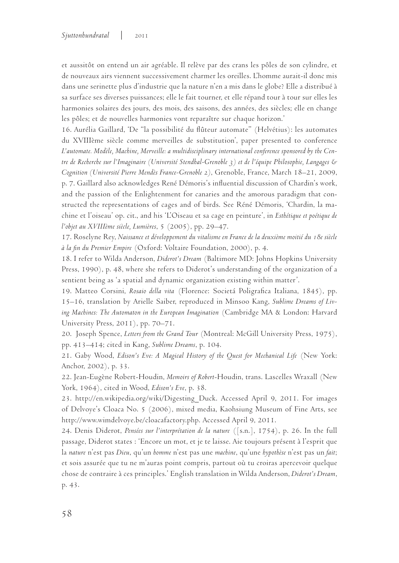et aussitôt on entend un air agréable. Il relève par des crans les pôles de son cylindre, et de nouveaux airs viennent successivement charmer les oreilles. L'homme aurait-il donc mis dans une serinette plus d'industrie que la nature n'en a mis dans le globe? Elle a distribué à sa surface ses diverses puissances; elle le fait tourner, et elle répand tour à tour sur elles les harmonies solaires des jours, des mois, des saisons, des années, des siècles; elle en change les pôles; et de nouvelles harmonies vont reparaître sur chaque horizon.'

16. Aurélia Gaillard, 'De "la possibilité du flûteur automate" (Helvétius): les automates du XVIIIème siècle comme merveilles de substitution', paper presented to conference *L'automate. Modèle, Machine, Merveille: a multidisciplinary international conference sponsored by the Centre de Recherche sur l'Imaginaire (Université Stendhal-Grenoble 3) et de l'équipe Philosophie, Langages & Cognition (Université Pierre Mendès France-Grenoble 2)*, Grenoble, France, March 18–21, 2009, p. 7. Gaillard also acknowledges René Démoris's influential discussion of Chardin's work, and the passion of the Enlightenment for canaries and the amorous paradigm that constructed the representations of cages and of birds. See Réné Démoris, 'Chardin, la machine et l'oiseau' op. cit., and his 'L'Oiseau et sa cage en peinture', in *Esthétique et poétique de l'objet au XVIIIème siècle, Lumières*, 5 (2005), pp. 29–47.

17. Roselyne Rey, *Naissance et développement du vitalisme en France de la deuxième moitié du 18e siècle à la fin du Premier Empire* (Oxford: Voltaire Foundation, 2000), p. 4.

18. I refer to Wilda Anderson, *Diderot's Dream* (Baltimore MD: Johns Hopkins University Press, 1990), p. 48, where she refers to Diderot's understanding of the organization of a sentient being as 'a spatial and dynamic organization existing within matter'.

19. Matteo Corsini, *Rosaio della vita* (Florence: Societá Poligrafica Italiana, 1845), pp. 15–16, translation by Arielle Saiber, reproduced in Minsoo Kang, *Sublime Dreams of Living Machines: The Automaton in the European Imagination* (Cambridge MA & London: Harvard University Press, 2011), pp. 70–71.

20. Joseph Spence, *Letters from the Grand Tour* (Montreal: McGill University Press, 1975), pp. 413–414; cited in Kang, *Sublime Dreams*, p. 104.

21. Gaby Wood, *Edison's Eve: A Magical History of the Quest for Mechanical Life* (New York: Anchor, 2002), p. 33.

22. Jean-Eugène Robert-Houdin, *Memoirs of Robert*-Houdin, trans. Lascelles Wraxall (New York, 1964), cited in Wood, *Edison's Eve*, p. 38.

23. http://en.wikipedia.org/wiki/Digesting\_Duck. Accessed April 9, 2011. For images of Delvoye's Cloaca No. 5 (2006), mixed media, Kaohsiung Museum of Fine Arts, see http://www.wimdelvoye.be/cloacafactory.php. Accessed April 9, 2011.

24. Denis Diderot, *Pensées sur l'interprétation de la nature* ([s.n.], 1754), p. 26. In the full passage, Diderot states : 'Encore un mot, et je te laisse. Aie toujours présent à l'esprit que la *nature* n'est pas *Dieu*, qu'un *homme* n'est pas une *machine*, qu'une *hypothèse* n'est pas un *fait*; et sois assurée que tu ne m'auras point compris, partout où tu croiras apercevoir quelque chose de contraire à ces principles.' English translation in Wilda Anderson, *Diderot's Dream*, p. 43.